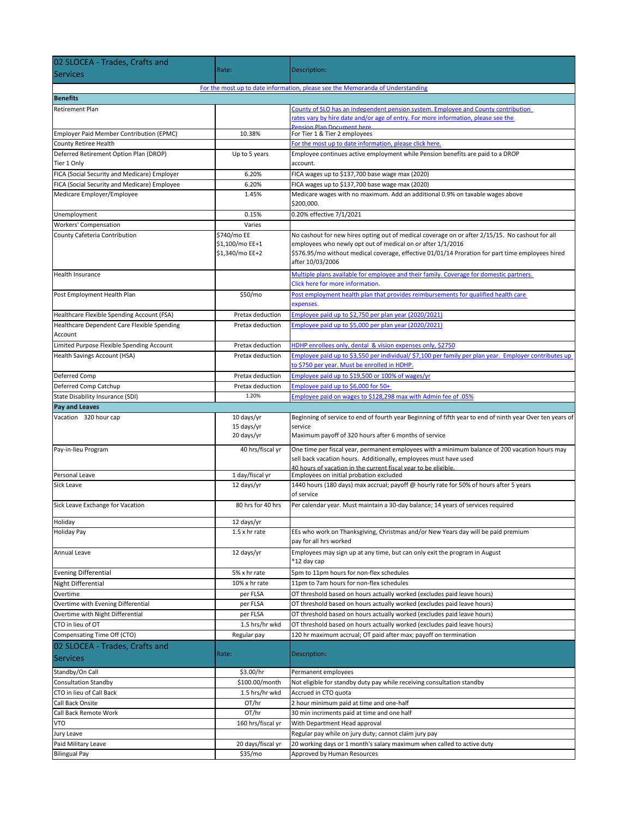| 02 SLOCEA - Trades, Crafts and                                                                    |                              |                                                                                                                                  |  |
|---------------------------------------------------------------------------------------------------|------------------------------|----------------------------------------------------------------------------------------------------------------------------------|--|
| <b>Services</b>                                                                                   | Rate:                        | Description:                                                                                                                     |  |
|                                                                                                   |                              |                                                                                                                                  |  |
| For the most up to date information, please see the Memoranda of Understanding<br><b>Benefits</b> |                              |                                                                                                                                  |  |
| <b>Retirement Plan</b>                                                                            |                              | County of SLO has an independent pension system. Employee and County contribution                                                |  |
|                                                                                                   |                              | rates vary by hire date and/or age of entry. For more information, please see the                                                |  |
|                                                                                                   |                              | <b>Pension Plan Document here</b>                                                                                                |  |
| Employer Paid Member Contribution (EPMC)                                                          | 10.38%                       | For Tier 1 & Tier 2 employees                                                                                                    |  |
| County Retiree Health                                                                             |                              | For the most up to date information, please click here.                                                                          |  |
| Deferred Retirement Option Plan (DROP)<br>Tier 1 Only                                             | Up to 5 years                | Employee continues active employment while Pension benefits are paid to a DROP<br>account.                                       |  |
|                                                                                                   | 6.20%                        | FICA wages up to \$137,700 base wage max (2020)                                                                                  |  |
| FICA (Social Security and Medicare) Employer<br>FICA (Social Security and Medicare) Employee      | 6.20%                        |                                                                                                                                  |  |
| Medicare Employer/Employee                                                                        | 1.45%                        | FICA wages up to \$137,700 base wage max (2020)<br>Medicare wages with no maximum. Add an additional 0.9% on taxable wages above |  |
|                                                                                                   |                              | \$200,000.                                                                                                                       |  |
| Unemployment                                                                                      | 0.15%                        | 0.20% effective 7/1/2021                                                                                                         |  |
| Workers' Compensation                                                                             | Varies                       |                                                                                                                                  |  |
| County Cafeteria Contribution                                                                     | \$740/mo EE                  | No cashout for new hires opting out of medical coverage on or after 2/15/15. No cashout for all                                  |  |
|                                                                                                   | \$1,100/mo EE+1              | employees who newly opt out of medical on or after 1/1/2016                                                                      |  |
|                                                                                                   | \$1,340/mo EE+2              | \$576.95/mo without medical coverage, effective 01/01/14 Proration for part time employees hired                                 |  |
|                                                                                                   |                              | after 10/03/2006                                                                                                                 |  |
| <b>Health Insurance</b>                                                                           |                              | Multiple plans available for employee and their family. Coverage for domestic partners.                                          |  |
|                                                                                                   |                              | Click here for more information.                                                                                                 |  |
| Post Employment Health Plan                                                                       | \$50/mo                      | Post employment health plan that provides reimbursements for qualified health care                                               |  |
|                                                                                                   |                              | expenses.                                                                                                                        |  |
| Healthcare Flexible Spending Account (FSA)                                                        | Pretax deduction             | Employee paid up to \$2,750 per plan year (2020/2021)                                                                            |  |
| Healthcare Dependent Care Flexible Spending                                                       | Pretax deduction             | Employee paid up to \$5,000 per plan year (2020/2021)                                                                            |  |
| Account                                                                                           |                              |                                                                                                                                  |  |
| Limited Purpose Flexible Spending Account                                                         | Pretax deduction             | HDHP enrollees only, dental & vision expenses only, \$2750                                                                       |  |
| Health Savings Account (HSA)                                                                      | Pretax deduction             | Employee paid up to \$3,550 per individual/ \$7,100 per family per plan year. Employer contributes up                            |  |
|                                                                                                   |                              | to \$750 per year. Must be enrolled in HDHP.                                                                                     |  |
| Deferred Comp                                                                                     | Pretax deduction             | Employee paid up to \$19,500 or 100% of wages/yr                                                                                 |  |
| Deferred Comp Catchup                                                                             | Pretax deduction             | Employee paid up to \$6,000 for 50+                                                                                              |  |
| State Disability Insurance (SDI)                                                                  | 1.20%                        | Employee paid on wages to \$128,298 max with Admin fee of .05%                                                                   |  |
| <b>Pay and Leaves</b>                                                                             |                              |                                                                                                                                  |  |
|                                                                                                   |                              |                                                                                                                                  |  |
| Vacation 320 hour cap                                                                             | 10 days/yr                   | Beginning of service to end of fourth year Beginning of fifth year to end of ninth year Over ten years of                        |  |
|                                                                                                   | 15 days/yr                   | service                                                                                                                          |  |
|                                                                                                   | 20 days/yr                   | Maximum payoff of 320 hours after 6 months of service                                                                            |  |
| Pay-in-lieu Program                                                                               | 40 hrs/fiscal yr             | One time per fiscal year, permanent employees with a minimum balance of 200 vacation hours may                                   |  |
|                                                                                                   |                              | sell back vacation hours. Additionally, employees must have used                                                                 |  |
| Personal Leave                                                                                    | 1 day/fiscal yr              | 40 hours of vacation in the current fiscal vear to be eligible.<br>Employees on initial probation excluded                       |  |
| Sick Leave                                                                                        | 12 days/yr                   | 1440 hours (180 days) max accrual; payoff @ hourly rate for 50% of hours after 5 years                                           |  |
|                                                                                                   |                              | of service                                                                                                                       |  |
| Sick Leave Exchange for Vacation                                                                  | 80 hrs for 40 hrs            | Per calendar year. Must maintain a 30-day balance; 14 years of services required                                                 |  |
|                                                                                                   |                              |                                                                                                                                  |  |
| Holiday                                                                                           | 12 days/yr                   |                                                                                                                                  |  |
| <b>Holiday Pay</b>                                                                                | 1.5 x hr rate                | EEs who work on Thanksgiving, Christmas and/or New Years day will be paid premium<br>pay for all hrs worked                      |  |
| Annual Leave                                                                                      |                              | Employees may sign up at any time, but can only exit the program in August                                                       |  |
|                                                                                                   | 12 days/yr                   | *12 day cap                                                                                                                      |  |
|                                                                                                   | 5% x hr rate                 | 5pm to 11pm hours for non-flex schedules                                                                                         |  |
| <b>Evening Differential</b><br><b>Night Differential</b>                                          | 10% x hr rate                | 11pm to 7am hours for non-flex schedules                                                                                         |  |
| Overtime                                                                                          | per FLSA                     | OT threshold based on hours actually worked (excludes paid leave hours)                                                          |  |
| Overtime with Evening Differential                                                                | per FLSA                     | OT threshold based on hours actually worked (excludes paid leave hours)                                                          |  |
| Overtime with Night Differential                                                                  | per FLSA                     | OT threshold based on hours actually worked (excludes paid leave hours)                                                          |  |
| CTO in lieu of OT                                                                                 | 1.5 hrs/hr wkd               | OT threshold based on hours actually worked (excludes paid leave hours)                                                          |  |
| Compensating Time Off (CTO)                                                                       | Regular pay                  | 120 hr maximum accrual; OT paid after max; payoff on termination                                                                 |  |
| 02 SLOCEA - Trades, Crafts and                                                                    |                              |                                                                                                                                  |  |
|                                                                                                   | Rate:                        | Description:                                                                                                                     |  |
| <b>Services</b>                                                                                   |                              |                                                                                                                                  |  |
| Standby/On Call                                                                                   | \$3.00/hr                    | Permanent employees                                                                                                              |  |
| <b>Consultation Standby</b>                                                                       | \$100.00/month               | Not eligible for standby duty pay while receiving consultation standby                                                           |  |
| CTO in lieu of Call Back                                                                          | 1.5 hrs/hr wkd               | Accrued in CTO quota                                                                                                             |  |
| Call Back Onsite                                                                                  | OT/hr                        | 2 hour minimum paid at time and one-half                                                                                         |  |
| Call Back Remote Work                                                                             | OT/hr                        | 30 min incriments paid at time and one half                                                                                      |  |
| <b>VTO</b>                                                                                        | 160 hrs/fiscal yr            | With Department Head approval                                                                                                    |  |
| Jury Leave                                                                                        |                              | Regular pay while on jury duty; cannot claim jury pay                                                                            |  |
| Paid Military Leave<br><b>Bilingual Pay</b>                                                       | 20 days/fiscal yr<br>\$35/mo | 20 working days or 1 month's salary maximum when called to active duty<br>Approved by Human Resources                            |  |